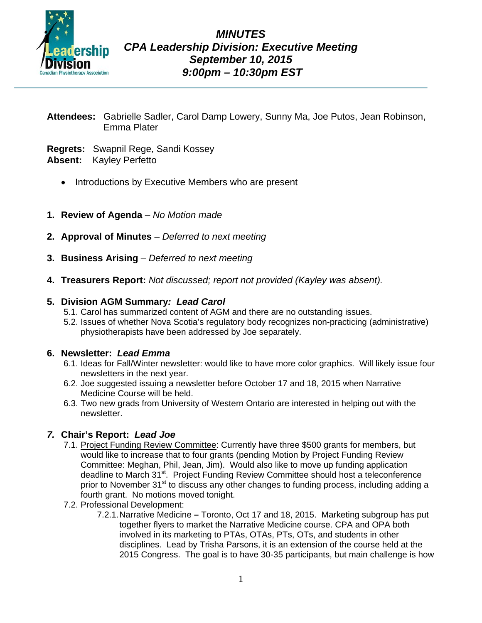

- **Attendees:** Gabrielle Sadler, Carol Damp Lowery, Sunny Ma, Joe Putos, Jean Robinson, Emma Plater
- **Regrets:** Swapnil Rege, Sandi Kossey **Absent:** Kayley Perfetto
	- Introductions by Executive Members who are present
- **1. Review of Agenda**  *No Motion made*
- **2. Approval of Minutes**  *Deferred to next meeting*
- **3. Business Arising** *Deferred to next meeting*
- **4. Treasurers Report:** *Not discussed; report not provided (Kayley was absent).*

# **5. Division AGM Summary***: Lead Carol*

- 5.1. Carol has summarized content of AGM and there are no outstanding issues.
- 5.2. Issues of whether Nova Scotia's regulatory body recognizes non-practicing (administrative) physiotherapists have been addressed by Joe separately.

# **6. Newsletter:** *Lead Emma*

- 6.1. Ideas for Fall/Winter newsletter: would like to have more color graphics. Will likely issue four newsletters in the next year.
- 6.2. Joe suggested issuing a newsletter before October 17 and 18, 2015 when Narrative Medicine Course will be held.
- 6.3. Two new grads from University of Western Ontario are interested in helping out with the newsletter.

# *7.* **Chair's Report:** *Lead Joe*

- 7.1. Project Funding Review Committee: Currently have three \$500 grants for members, but would like to increase that to four grants (pending Motion by Project Funding Review Committee: Meghan, Phil, Jean, Jim). Would also like to move up funding application deadline to March 31<sup>st</sup>. Project Funding Review Committee should host a teleconference prior to November 31<sup>st</sup> to discuss any other changes to funding process, including adding a fourth grant. No motions moved tonight.
- 7.2. Professional Development:
	- 7.2.1.Narrative Medicine **–** Toronto, Oct 17 and 18, 2015. Marketing subgroup has put together flyers to market the Narrative Medicine course. CPA and OPA both involved in its marketing to PTAs, OTAs, PTs, OTs, and students in other disciplines. Lead by Trisha Parsons, it is an extension of the course held at the 2015 Congress. The goal is to have 30-35 participants, but main challenge is how